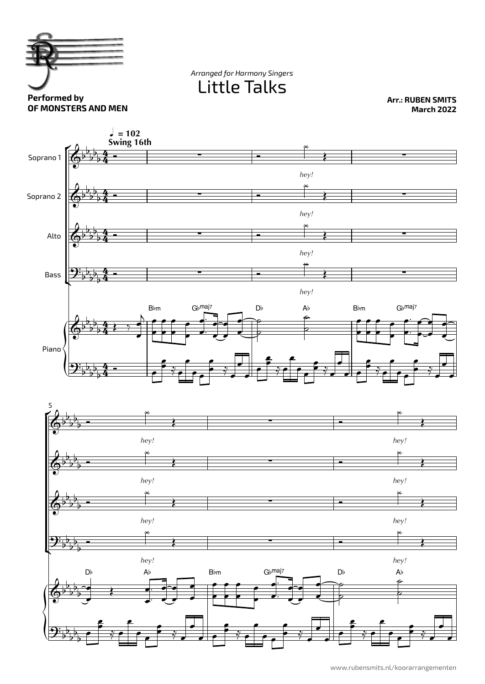

Little Talks *Arranged for Harmony Singers*

**Arr.: RUBEN SMITS March 2022**

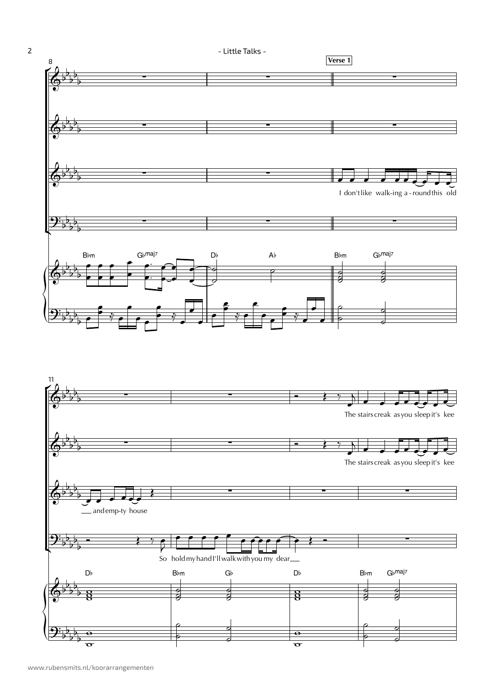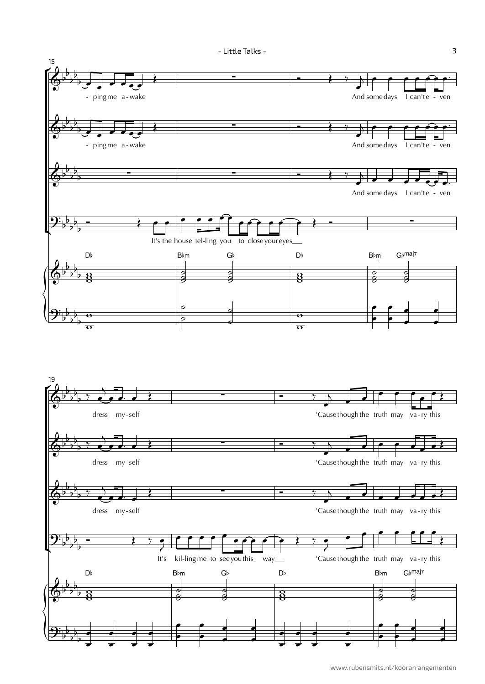